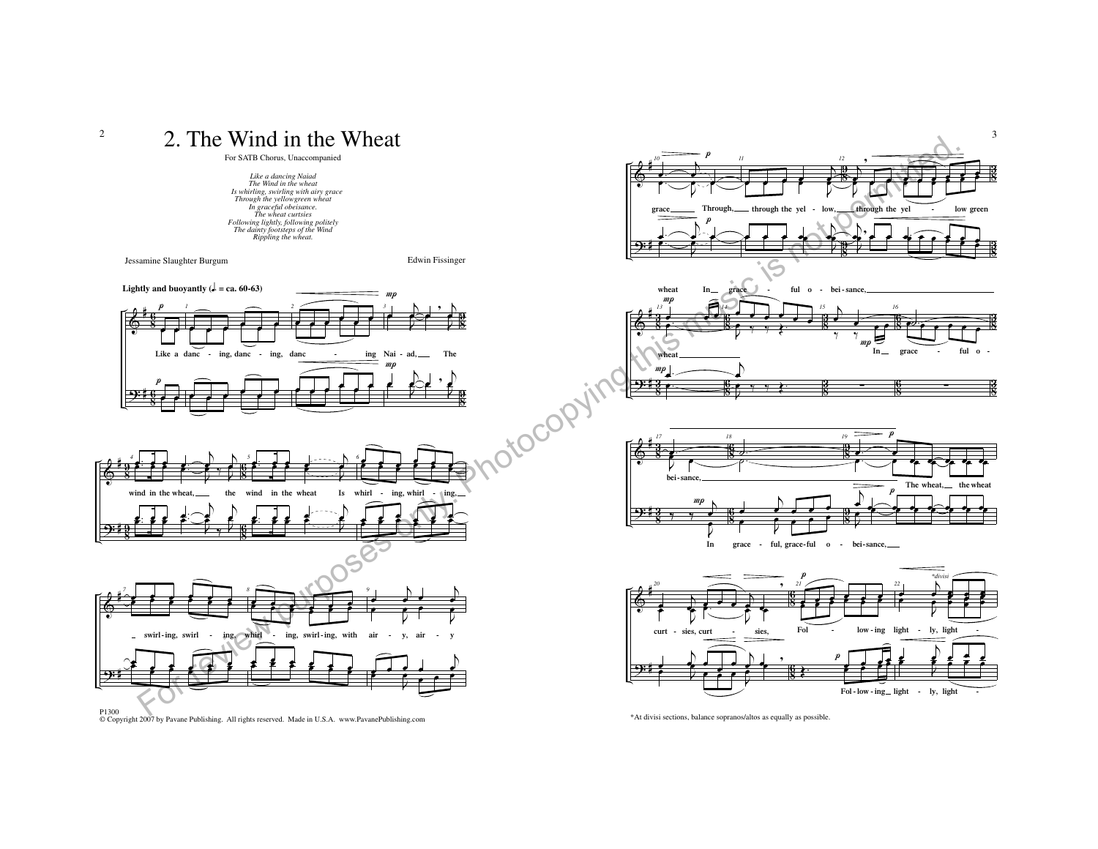

P1300 © Copyright 2007 by Pavane Publishing. All rights reserved. Made in U.S.A. www.PavanePublishing.com

\*At divisi sections, balance sopranos/altos as equally as possible.